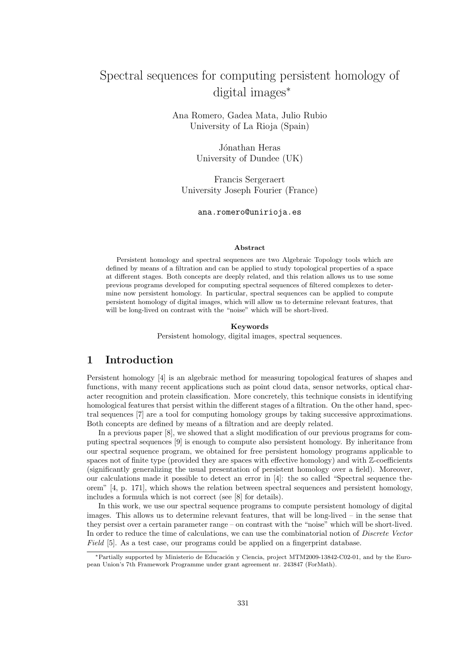# Spectral sequences for computing persistent homology of digital images∗

Ana Romero, Gadea Mata, Julio Rubio University of La Rioja (Spain)

> Jónathan Heras University of Dundee (UK)

Francis Sergeraert University Joseph Fourier (France)

ana.romero@unirioja.es

#### Abstract

Persistent homology and spectral sequences are two Algebraic Topology tools which are defined by means of a filtration and can be applied to study topological properties of a space at different stages. Both concepts are deeply related, and this relation allows us to use some previous programs developed for computing spectral sequences of filtered complexes to determine now persistent homology. In particular, spectral sequences can be applied to compute persistent homology of digital images, which will allow us to determine relevant features, that will be long-lived on contrast with the "noise" which will be short-lived.

#### Keywords

Persistent homology, digital images, spectral sequences.

### 1 Introduction

Persistent homology [4] is an algebraic method for measuring topological features of shapes and functions, with many recent applications such as point cloud data, sensor networks, optical character recognition and protein classification. More concretely, this technique consists in identifying homological features that persist within the different stages of a filtration. On the other hand, spectral sequences [7] are a tool for computing homology groups by taking successive approximations. Both concepts are defined by means of a filtration and are deeply related.

In a previous paper [8], we showed that a slight modification of our previous programs for computing spectral sequences [9] is enough to compute also persistent homology. By inheritance from our spectral sequence program, we obtained for free persistent homology programs applicable to spaces not of finite type (provided they are spaces with effective homology) and with Z-coefficients (significantly generalizing the usual presentation of persistent homology over a field). Moreover, our calculations made it possible to detect an error in [4]: the so called "Spectral sequence theorem" [4, p. 171], which shows the relation between spectral sequences and persistent homology, includes a formula which is not correct (see [8] for details).

In this work, we use our spectral sequence programs to compute persistent homology of digital images. This allows us to determine relevant features, that will be long-lived – in the sense that they persist over a certain parameter range – on contrast with the "noise" which will be short-lived. In order to reduce the time of calculations, we can use the combinatorial notion of *Discrete Vector* Field [5]. As a test case, our programs could be applied on a fingerprint database.

<sup>\*</sup>Partially supported by Ministerio de Educación y Ciencia, project MTM2009-13842-C02-01, and by the European Union's 7th Framework Programme under grant agreement nr. 243847 (ForMath).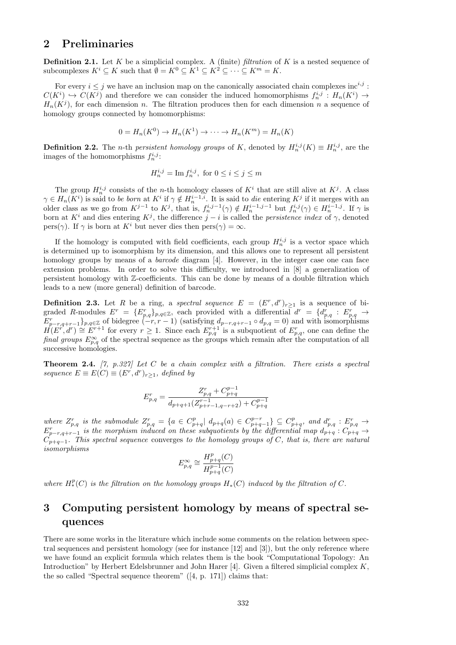### 2 Preliminaries

**Definition 2.1.** Let K be a simplicial complex. A (finite) filtration of K is a nested sequence of subcomplexes  $K^i \subseteq K$  such that  $\emptyset = K^0 \subseteq K^1 \subseteq K^2 \subseteq \cdots \subseteq K^m = K$ .

For every  $i \leq j$  we have an inclusion map on the canonically associated chain complexes inc<sup>i,j</sup>:  $C(K^i) \hookrightarrow C(K^j)$  and therefore we can consider the induced homomorphisms  $f_n^{i,j}: H_n(K^i) \to$  $H_n(K^j)$ , for each dimension n. The filtration produces then for each dimension n a sequence of homology groups connected by homomorphisms:

$$
0 = H_n(K^0) \to H_n(K^1) \to \cdots \to H_n(K^m) = H_n(K)
$$

**Definition 2.2.** The *n*-th *persistent homology groups* of K, denoted by  $H_n^{i,j}(K) \equiv H_n^{i,j}$ , are the images of the homomorphisms  $f_n^{i,j}$ :

$$
H_n^{i,j} = \operatorname{Im} f_n^{i,j}, \text{ for } 0 \le i \le j \le m
$$

The group  $H_n^{i,j}$  consists of the *n*-th homology classes of  $K^i$  that are still alive at  $K^j$ . A class  $\gamma \in H_n(K^i)$  is said to be born at  $K^i$  if  $\gamma \notin H_n^{i-1,i}$ . It is said to die entering  $K^j$  if it merges with an older class as we go from  $K^{j-1}$  to  $K^j$ , that is,  $f_n^{i,j-1}(\gamma) \notin H_n^{i-1,j-1}$  but  $f_n^{i,j}(\gamma) \in H_n^{i-1,j}$ . If  $\gamma$  is born at K<sup>i</sup> and dies entering K<sup>j</sup>, the difference  $j - i$  is called the *persistence index* of  $\gamma$ , denoted pers( $\gamma$ ). If  $\gamma$  is born at K<sup>i</sup> but never dies then pers( $\gamma$ ) =  $\infty$ .

If the homology is computed with field coefficients, each group  $H_n^{i,j}$  is a vector space which is determined up to isomorphism by its dimension, and this allows one to represent all persistent homology groups by means of a *barcode* diagram [4]. However, in the integer case one can face extension problems. In order to solve this difficulty, we introduced in [8] a generalization of persistent homology with Z-coefficients. This can be done by means of a double filtration which leads to a new (more general) definition of barcode.

**Definition 2.3.** Let R be a ring, a spectral sequence  $E = (E^r, d^r)_{r \geq 1}$  is a sequence of bigraded R-modules  $E^r = \{E_{p,q}^r\}_{p,q \in \mathbb{Z}}$ , each provided with a differential  $d^r = \{d_{p,q}^r : E_{p,q}^r \to E_{p,q-r,q+r-1}^r\}_{p,q \in \mathbb{Z}}$  of bidegree  $(-r, r - 1)$  (satisfying  $d_{p-r,q+r-1} \circ d_{p,q} = 0$ ) and with isomorphisms  $H(E^{r}, d^{r}) \cong E^{r+1}$  for every  $r \geq 1$ . Since each  $E_{p,q}^{r+1}$  is a subquotient of  $E_{p,q}^{r}$ , one can define the final groups  $E_{p,q}^{\infty}$  of the spectral sequence as the groups which remain after the computation of all successive homologies.

**Theorem 2.4.** [7, p.327] Let C be a chain complex with a filtration. There exists a spectral sequence  $E \equiv E(C) \equiv (E^r, d^r)_{r>1}$ , defined by

$$
E_{p,q}^r = \frac{Z_{p,q}^r + C_{p+q}^{p-1}}{d_{p+q+1}(Z_{p+r-1,q-r+2}^{r-1}) + C_{p+q}^{p-1}}
$$

where  $Z_{p,q}^r$  is the submodule  $Z_{p,q}^r = \{a \in C_{p+q}^p | d_{p+q}(a) \in C_{p+q-1}^{p-r} \} \subseteq C_{p+q}^p$ , and  $d_{p,q}^r : E_{p,q}^r \to E_{p-r,q+r-1}^r$  is the morphism induced on these subquotients by the differential map  $d_{p+q} : C_{p+q} \to$  $C_{p+q-1}$ . This spectral sequence converges to the homology groups of C, that is, there are natural isomorphisms

$$
E_{p,q}^{\infty} \cong \frac{H_{p+q}^p(C)}{H_{p+q}^{p-1}(C)}
$$

where  $H_*^p(C)$  is the filtration on the homology groups  $H_*(C)$  induced by the filtration of C.

## 3 Computing persistent homology by means of spectral sequences

There are some works in the literature which include some comments on the relation between spectral sequences and persistent homology (see for instance [12] and [3]), but the only reference where we have found an explicit formula which relates them is the book "Computational Topology: An Introduction" by Herbert Edelsbrunner and John Harer [4]. Given a filtered simplicial complex  $K$ , the so called "Spectral sequence theorem" ([4, p. 171]) claims that: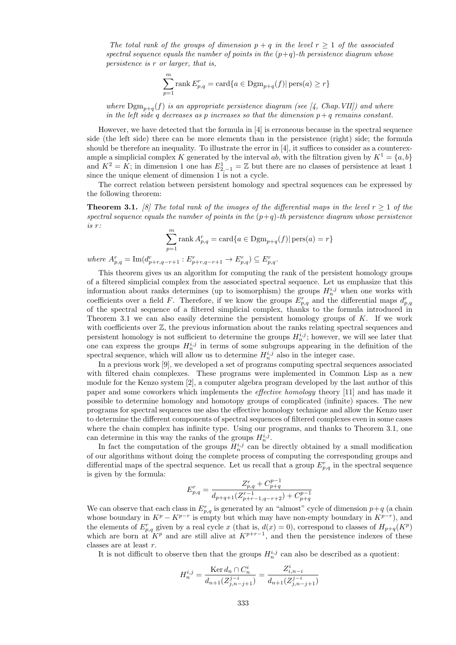The total rank of the groups of dimension  $p + q$  in the level  $r \geq 1$  of the associated spectral sequence equals the number of points in the  $(p+q)$ -th persistence diagram whose persistence is r or larger, that is,

$$
\sum_{p=1}^{m} \text{rank } E_{p,q}^{r} = \text{card}\{a \in \text{Dgm}_{p+q}(f) | \text{pers}(a) \ge r\}
$$

where  $\text{Dgm}_{n+a}(f)$  is an appropriate persistence diagram (see [4, Chap.VII]) and where in the left side q decreases as p increases so that the dimension  $p + q$  remains constant.

However, we have detected that the formula in [4] is erroneous because in the spectral sequence side (the left side) there can be more elements than in the persistence (right) side; the formula should be therefore an inequality. To illustrate the error in [4], it suffices to consider as a counterexample a simplicial complex K generated by the interval ab, with the filtration given by  $K^1 = \{a, b\}$ and  $K^2 = K$ ; in dimension 1 one has  $E^1_{2,-1} = \mathbb{Z}$  but there are no classes of persistence at least 1 since the unique element of dimension 1 is not a cycle.

The correct relation between persistent homology and spectral sequences can be expressed by the following theorem:

**Theorem 3.1.** [8] The total rank of the images of the differential maps in the level  $r \geq 1$  of the spectral sequence equals the number of points in the  $(p+q)$ -th persistence diagram whose persistence is r:  $\sum_{m=1}^{m}$ 

$$
\sum_{p=1}^{m} \text{rank } A_{p,q}^{r} = \text{card}\{a \in \text{Dgm}_{p+q}(f) | \text{pers}(a) = r\}
$$

where  $A_{p,q}^r = \text{Im}(d_{p+r,q-r+1}^r : E_{p+r,q-r+1}^r \to E_{p,q}^r) \subseteq E_{p,q}^r$ .

This theorem gives us an algorithm for computing the rank of the persistent homology groups of a filtered simplicial complex from the associated spectral sequence. Let us emphasize that this information about ranks determines (up to isomorphism) the groups  $H_n^{i,j}$  when one works with coefficients over a field F. Therefore, if we know the groups  $E_{p,q}^r$  and the differential maps  $d_{p,q}^r$ of the spectral sequence of a filtered simplicial complex, thanks to the formula introduced in Theorem 3.1 we can also easily determine the persistent homology groups of  $K$ . If we work with coefficients over  $\mathbb{Z}$ , the previous information about the ranks relating spectral sequences and persistent homology is not sufficient to determine the groups  $H_n^{i,j}$ ; however, we will see later that one can express the groups  $H_n^{i,j}$  in terms of some subgroups appearing in the definition of the spectral sequence, which will allow us to determine  $H_n^{i,j}$  also in the integer case.

In a previous work [9], we developed a set of programs computing spectral sequences associated with filtered chain complexes. These programs were implemented in Common Lisp as a new module for the Kenzo system [2], a computer algebra program developed by the last author of this paper and some coworkers which implements the effective homology theory [11] and has made it possible to determine homology and homotopy groups of complicated (infinite) spaces. The new programs for spectral sequences use also the effective homology technique and allow the Kenzo user to determine the different components of spectral sequences of filtered complexes even in some cases where the chain complex has infinite type. Using our programs, and thanks to Theorem 3.1, one can determine in this way the ranks of the groups  $H_n^{i,j}$ .

In fact the computation of the groups  $H_n^{i,j}$  can be directly obtained by a small modification of our algorithms without doing the complete process of computing the corresponding groups and differential maps of the spectral sequence. Let us recall that a group  $E_{p,q}^r$  in the spectral sequence is given by the formula:

$$
E_{p,q}^r = \frac{Z_{p,q}^r + C_{p+q}^{p-1}}{d_{p+q+1}(Z_{p+r-1,q-r+2}^{r-1}) + C_{p+q}^{p-1}}
$$

We can observe that each class in  $E_{p,q}^r$  is generated by an "almost" cycle of dimension  $p+q$  (a chain whose boundary in  $K^p - K^{p-r}$  is empty but which may have non-empty boundary in  $K^{p-r}$ ), and the elements of  $E_{p,q}^r$  given by a real cycle x (that is,  $d(x) = 0$ ), correspond to classes of  $H_{p+q}(K^p)$ which are born at  $K^p$  and are still alive at  $K^{p+r-1}$ , and then the persistence indexes of these classes are at least r.

It is not difficult to observe then that the groups  $H_n^{i,j}$  can also be described as a quotient:

$$
H_n^{i,j} = \frac{\text{Ker } d_n \cap C_n^i}{d_{n+1}(Z_{j,n-j+1}^{j-i})} = \frac{Z_{i,n-i}^i}{d_{n+1}(Z_{j,n-j+1}^{j-i})}
$$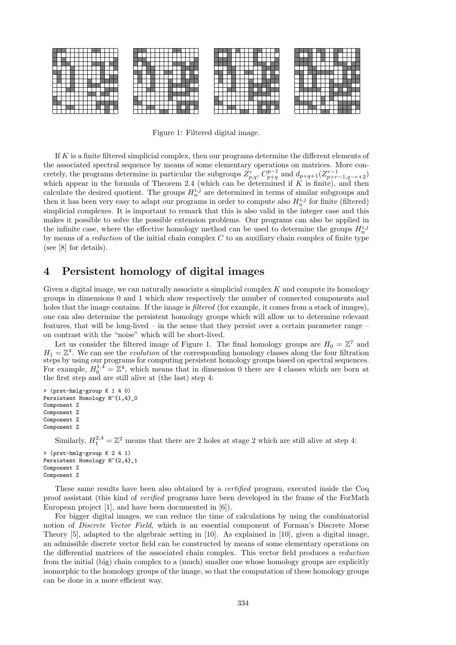

Figure 1: Filtered digital image.

If  $K$  is a finite filtered simplicial complex, then our programs determine the different elements of the associated spectral sequence by means of some elementary operations on matrices. More concretely, the programs determine in particular the subgroups  $Z_{p,q}^r$ ,  $C_{p+q}^{p-1}$  and  $d_{p+q+1}(Z_{p+r-1,q-r+2}^{r-1})$ <br>which appear in the formula of Theorem 2.4 (which can be determined if K is finite), and then calculate the desired quotient. The groups  $H_n^{i,j}$  are determined in terms of similar subgroups and then it has been very easy to adapt our programs in order to compute also  $H_n^{i,j}$  for finite (filtered) simplicial complexes. It is important to remark that this is also valid in the integer case and this makes it possible to solve the possible extension problems. Our programs can also be applied in the infinite case, where the effective homology method can be used to determine the groups  $H_n^{i,j}$ by means of a *reduction* of the initial chain complex  $C$  to an auxiliary chain complex of finite type (see [8] for details).

### 4 Persistent homology of digital images

Given a digital image, we can naturally associate a simplicial complex  $K$  and compute its homology groups in dimensions 0 and 1 which show respectively the number of connected components and holes that the image contains. If the image is *filtered* (for example, it comes from a stack of images), one can also determine the persistent homology groups which will allow us to determine relevant features, that will be long-lived – in the sense that they persist over a certain parameter range – on contrast with the "noise" which will be short-lived.

Let us consider the filtered image of Figure 1. The final homology groups are  $H_0 = \mathbb{Z}^7$  and  $H_1 = \mathbb{Z}^4$ . We can see the *evolution* of the corresponding homology classes along the four filtration steps by using our programs for computing persistent homology groups based on spectral sequences. For example,  $H_0^{1,4} = \mathbb{Z}^4$ , which means that in dimension 0 there are 4 classes which are born at the first step and are still alive at (the last) step 4:

```
> (prst-hmlg-group K 1 4 0)
Persistent Homology H<sup>-</sup>{1,4}_0
Component Z
Component Z
Component Z
Component Z
```
Similarly,  $H_1^{2,4} = \mathbb{Z}^2$  means that there are 2 holes at stage 2 which are still alive at step 4:

> (prst-hmlg-group K 2 4 1) Persistent Homology H<sup>-</sup>{2,4}\_1 Component Z Component Z

These same results have been also obtained by a certified program, executed inside the Coq proof assistant (this kind of verified programs have been developed in the frame of the ForMath European project [1], and have been documented in [6]).

For bigger digital images, we can reduce the time of calculations by using the combinatorial notion of Discrete Vector Field, which is an essential component of Forman's Discrete Morse Theory [5], adapted to the algebraic setting in [10]. As explained in [10], given a digital image, an admissible discrete vector field can be constructed by means of some elementary operations on the differential matrices of the associated chain complex. This vector field produces a reduction from the initial (big) chain complex to a (much) smaller one whose homology groups are explicitly isomorphic to the homology groups of the image, so that the computation of these homology groups can be done in a more efficient way.